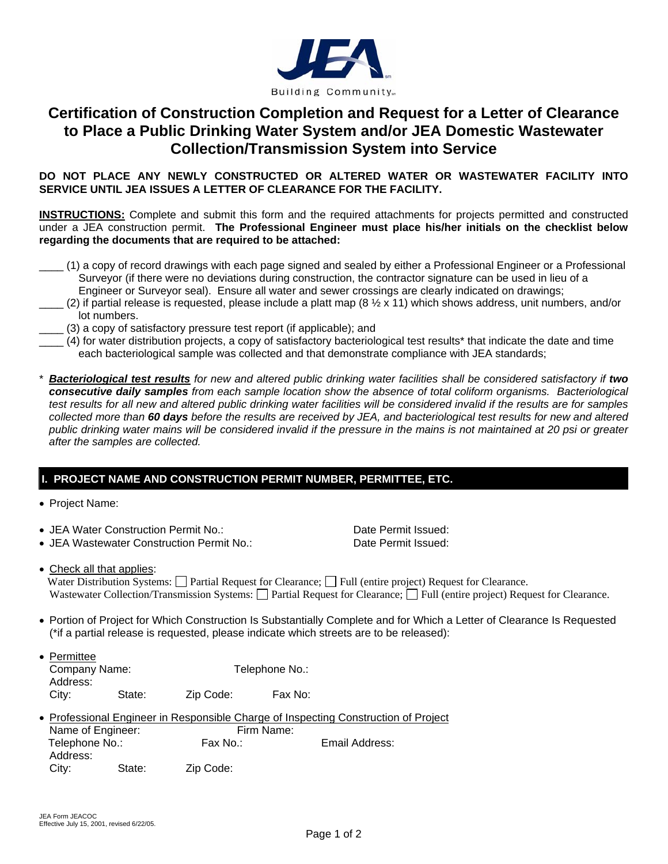

## **Certification of Construction Completion and Request for a Letter of Clearance to Place a Public Drinking Water System and/or JEA Domestic Wastewater Collection/Transmission System into Service**

**DO NOT PLACE ANY NEWLY CONSTRUCTED OR ALTERED WATER OR WASTEWATER FACILITY INTO SERVICE UNTIL JEA ISSUES A LETTER OF CLEARANCE FOR THE FACILITY.**

**INSTRUCTIONS:** Complete and submit this form and the required attachments for projects permitted and constructed under a JEA construction permit. **The Professional Engineer must place his/her initials on the checklist below regarding the documents that are required to be attached:** 

- \_\_\_\_ (1) a copy of record drawings with each page signed and sealed by either a Professional Engineer or a Professional Surveyor (if there were no deviations during construction, the contractor signature can be used in lieu of a Engineer or Surveyor seal). Ensure all water and sewer crossings are clearly indicated on drawings;
- (2) if partial release is requested, please include a platt map (8  $\frac{1}{2}$  x 11) which shows address, unit numbers, and/or lot numbers.
	- \_\_\_\_ (3) a copy of satisfactory pressure test report (if applicable); and
	- \_\_\_\_ (4) for water distribution projects, a copy of satisfactory bacteriological test results\* that indicate the date and time each bacteriological sample was collected and that demonstrate compliance with JEA standards;
- \* *Bacteriological test results for new and altered public drinking water facilities shall be considered satisfactory if two consecutive daily samples from each sample location show the absence of total coliform organisms. Bacteriological test results for all new and altered public drinking water facilities will be considered invalid if the results are for samples collected more than 60 days before the results are received by JEA, and bacteriological test results for new and altered public drinking water mains will be considered invalid if the pressure in the mains is not maintained at 20 psi or greater after the samples are collected.*

## **I. PROJECT NAME AND CONSTRUCTION PERMIT NUMBER, PERMITTEE, ETC.**

- Project Name:
- JEA Water Construction Permit No.: Date Permit Issued:
- JEA Wastewater Construction Permit No.: Date Permit Issued:

• Check all that applies:

Water Distribution Systems: Partial Request for Clearance; Pull (entire project) Request for Clearance. Wastewater Collection/Transmission Systems: Partial Request for Clearance; Pull (entire project) Request for Clearance.

- Portion of Project for Which Construction Is Substantially Complete and for Which a Letter of Clearance Is Requested (\*if a partial release is requested, please indicate which streets are to be released):
- Permittee Company Name: Telephone No.: Address: City: State: Zip Code: Fax No:
- Professional Engineer in Responsible Charge of Inspecting Construction of Project Name of Engineer: Firm Name: Telephone No.: Fax No.: Fax No.: Email Address: Address: City: State: Zip Code: